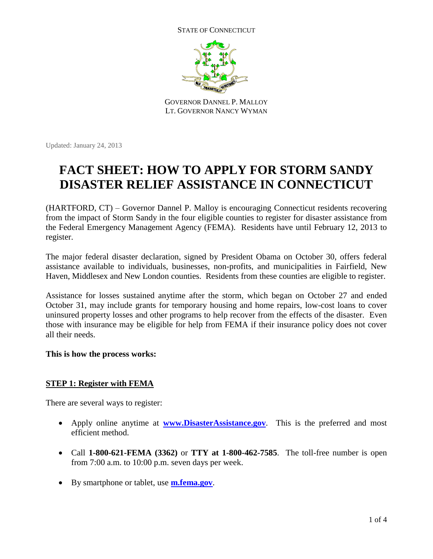STATE OF CONNECTICUT



GOVERNOR DANNEL P. MALLOY LT. GOVERNOR NANCY WYMAN

Updated: January 24, 2013

# **FACT SHEET: HOW TO APPLY FOR STORM SANDY DISASTER RELIEF ASSISTANCE IN CONNECTICUT**

(HARTFORD, CT) – Governor Dannel P. Malloy is encouraging Connecticut residents recovering from the impact of Storm Sandy in the four eligible counties to register for disaster assistance from the Federal Emergency Management Agency (FEMA). Residents have until February 12, 2013 to register.

The major federal disaster declaration, signed by President Obama on October 30, offers federal assistance available to individuals, businesses, non-profits, and municipalities in Fairfield, New Haven, Middlesex and New London counties. Residents from these counties are eligible to register.

Assistance for losses sustained anytime after the storm, which began on October 27 and ended October 31, may include grants for temporary housing and home repairs, low-cost loans to cover uninsured property losses and other programs to help recover from the effects of the disaster. Even those with insurance may be eligible for help from FEMA if their insurance policy does not cover all their needs.

## **This is how the process works:**

## **STEP 1: Register with FEMA**

There are several ways to register:

- Apply online anytime at **[www.DisasterAssistance.gov](http://www.disasterassistance.gov/)**. This is the preferred and most efficient method.
- Call **1-800-621-FEMA (3362)** or **TTY at 1-800-462-7585**. The toll-free number is open from 7:00 a.m. to 10:00 p.m. seven days per week.
- By smartphone or tablet, use **[m.fema.gov](http://m.fema.gov/)**.